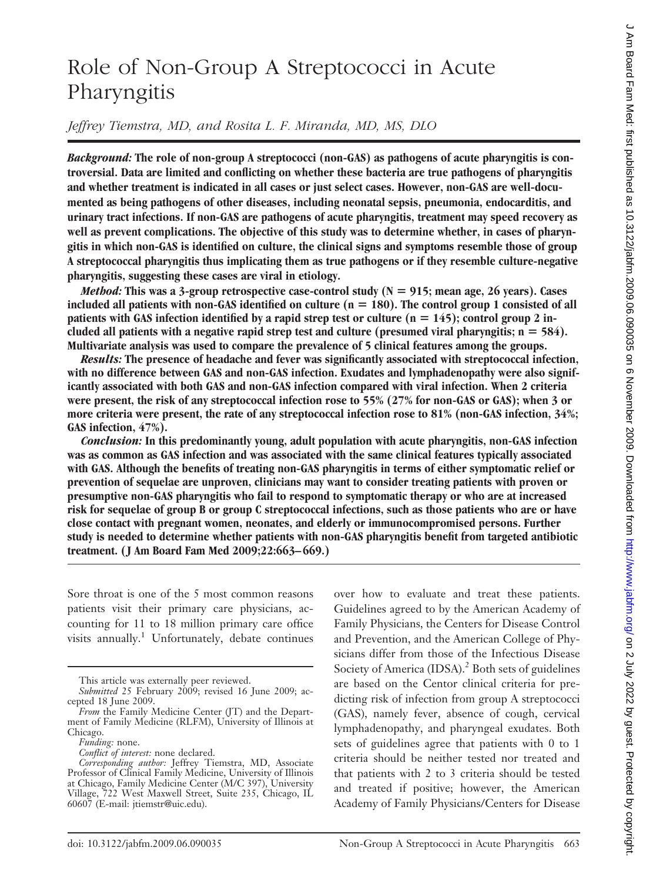# Role of Non-Group A Streptococci in Acute Pharyngitis

## *Jeffrey Tiemstra, MD, and Rosita L. F. Miranda, MD, MS, DLO*

*Background:* **The role of non-group A streptococci (non-GAS) as pathogens of acute pharyngitis is controversial. Data are limited and conflicting on whether these bacteria are true pathogens of pharyngitis and whether treatment is indicated in all cases or just select cases. However, non-GAS are well-documented as being pathogens of other diseases, including neonatal sepsis, pneumonia, endocarditis, and urinary tract infections. If non-GAS are pathogens of acute pharyngitis, treatment may speed recovery as well as prevent complications. The objective of this study was to determine whether, in cases of pharyngitis in which non-GAS is identified on culture, the clinical signs and symptoms resemble those of group A streptococcal pharyngitis thus implicating them as true pathogens or if they resemble culture-negative pharyngitis, suggesting these cases are viral in etiology.**

*Method:* **This was a 3-group retrospective case-control study (N 915; mean age, 26 years). Cases** included all patients with non-GAS identified on culture  $(n = 180)$ . The control group 1 consisted of all **patients with GAS infection identified by a rapid strep test or culture (n 145); control group 2 in**cluded all patients with a negative rapid strep test and culture (presumed viral pharyngitis;  $n = 584$ ). **Multivariate analysis was used to compare the prevalence of 5 clinical features among the groups.**

*Results:* **The presence of headache and fever was significantly associated with streptococcal infection, with no difference between GAS and non-GAS infection. Exudates and lymphadenopathy were also significantly associated with both GAS and non-GAS infection compared with viral infection. When 2 criteria were present, the risk of any streptococcal infection rose to 55% (27% for non-GAS or GAS); when 3 or more criteria were present, the rate of any streptococcal infection rose to 81% (non-GAS infection, 34%; GAS infection, 47%).**

*Conclusion:* **In this predominantly young, adult population with acute pharyngitis, non-GAS infection was as common as GAS infection and was associated with the same clinical features typically associated with GAS. Although the benefits of treating non-GAS pharyngitis in terms of either symptomatic relief or prevention of sequelae are unproven, clinicians may want to consider treating patients with proven or presumptive non-GAS pharyngitis who fail to respond to symptomatic therapy or who are at increased risk for sequelae of group B or group C streptococcal infections, such as those patients who are or have close contact with pregnant women, neonates, and elderly or immunocompromised persons. Further study is needed to determine whether patients with non-GAS pharyngitis benefit from targeted antibiotic treatment. ( J Am Board Fam Med 2009;22:663– 669.)**

Sore throat is one of the 5 most common reasons patients visit their primary care physicians, accounting for 11 to 18 million primary care office visits annually.<sup>1</sup> Unfortunately, debate continues

*Conflict of interest:* none declared.

over how to evaluate and treat these patients. Guidelines agreed to by the American Academy of Family Physicians, the Centers for Disease Control and Prevention, and the American College of Physicians differ from those of the Infectious Disease Society of America (IDSA).<sup>2</sup> Both sets of guidelines are based on the Centor clinical criteria for predicting risk of infection from group A streptococci (GAS), namely fever, absence of cough, cervical lymphadenopathy, and pharyngeal exudates. Both sets of guidelines agree that patients with 0 to 1 criteria should be neither tested nor treated and that patients with 2 to 3 criteria should be tested and treated if positive; however, the American Academy of Family Physicians/Centers for Disease

This article was externally peer reviewed.

*Submitted* 25 February 2009; revised 16 June 2009; accepted 18 June 2009.

*From* the Family Medicine Center (JT) and the Department of Family Medicine (RLFM), University of Illinois at Chicago.

*Funding:* none.

*Corresponding author:* Jeffrey Tiemstra, MD, Associate Professor of Clinical Family Medicine, University of Illinois at Chicago, Family Medicine Center (M/C 397), University Village, 722 West Maxwell Street, Suite 235, Chicago, IL 60607 (E-mail: jtiemstr@uic.edu).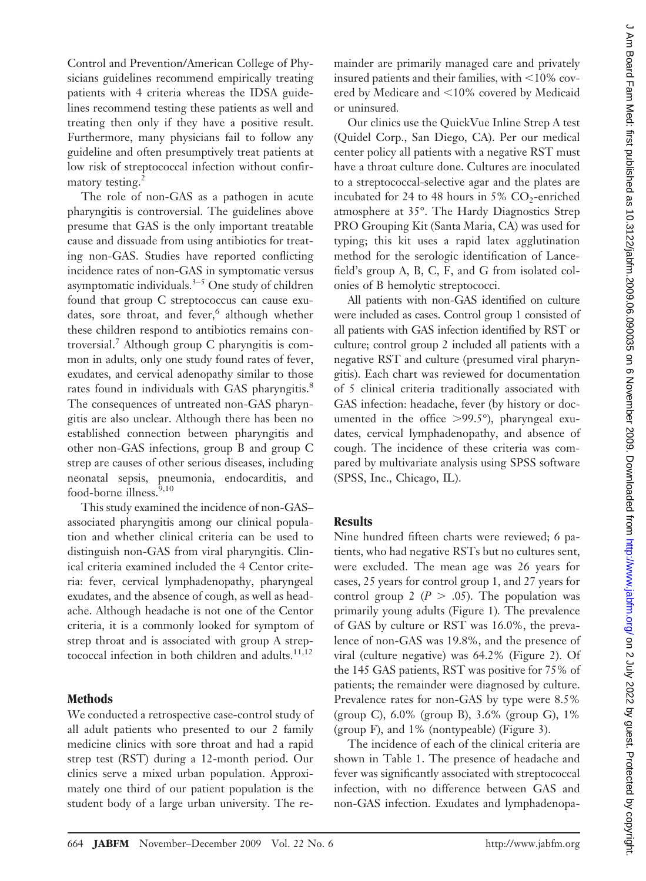Control and Prevention/American College of Physicians guidelines recommend empirically treating patients with 4 criteria whereas the IDSA guidelines recommend testing these patients as well and treating then only if they have a positive result. Furthermore, many physicians fail to follow any guideline and often presumptively treat patients at low risk of streptococcal infection without confirmatory testing.<sup>2</sup>

The role of non-GAS as a pathogen in acute pharyngitis is controversial. The guidelines above presume that GAS is the only important treatable cause and dissuade from using antibiotics for treating non-GAS. Studies have reported conflicting incidence rates of non-GAS in symptomatic versus asymptomatic individuals. $3-5$  One study of children found that group C streptococcus can cause exudates, sore throat, and fever,<sup>6</sup> although whether these children respond to antibiotics remains controversial.7 Although group C pharyngitis is common in adults, only one study found rates of fever, exudates, and cervical adenopathy similar to those rates found in individuals with GAS pharyngitis.<sup>8</sup> The consequences of untreated non-GAS pharyngitis are also unclear. Although there has been no established connection between pharyngitis and other non-GAS infections, group B and group C strep are causes of other serious diseases, including neonatal sepsis, pneumonia, endocarditis, and food-borne illness.<sup>9,10</sup>

This study examined the incidence of non-GAS– associated pharyngitis among our clinical population and whether clinical criteria can be used to distinguish non-GAS from viral pharyngitis. Clinical criteria examined included the 4 Centor criteria: fever, cervical lymphadenopathy, pharyngeal exudates, and the absence of cough, as well as headache. Although headache is not one of the Centor criteria, it is a commonly looked for symptom of strep throat and is associated with group A streptococcal infection in both children and adults. $11,12$ 

### **Methods**

We conducted a retrospective case-control study of all adult patients who presented to our 2 family medicine clinics with sore throat and had a rapid strep test (RST) during a 12-month period. Our clinics serve a mixed urban population. Approximately one third of our patient population is the student body of a large urban university. The remainder are primarily managed care and privately insured patients and their families, with  $<$ 10% covered by Medicare and  $\leq 10\%$  covered by Medicaid or uninsured*.*

Our clinics use the QuickVue Inline Strep A test (Quidel Corp., San Diego, CA). Per our medical center policy all patients with a negative RST must have a throat culture done. Cultures are inoculated to a streptococcal-selective agar and the plates are incubated for 24 to 48 hours in 5%  $CO_2$ -enriched atmosphere at 35°. The Hardy Diagnostics Strep PRO Grouping Kit (Santa Maria, CA) was used for typing; this kit uses a rapid latex agglutination method for the serologic identification of Lancefield's group A, B, C, F, and G from isolated colonies of B hemolytic streptococci.

All patients with non-GAS identified on culture were included as cases. Control group 1 consisted of all patients with GAS infection identified by RST or culture; control group 2 included all patients with a negative RST and culture (presumed viral pharyngitis). Each chart was reviewed for documentation of 5 clinical criteria traditionally associated with GAS infection: headache, fever (by history or documented in the office  $>99.5^{\circ}$ ), pharyngeal exudates, cervical lymphadenopathy, and absence of cough. The incidence of these criteria was compared by multivariate analysis using SPSS software (SPSS, Inc., Chicago, IL).

#### **Results**

Nine hundred fifteen charts were reviewed; 6 patients, who had negative RSTs but no cultures sent, were excluded. The mean age was 26 years for cases, 25 years for control group 1, and 27 years for control group 2 ( $P > .05$ ). The population was primarily young adults (Figure 1)*.* The prevalence of GAS by culture or RST was 16.0%, the prevalence of non-GAS was 19.8%, and the presence of viral (culture negative) was 64.2% (Figure 2). Of the 145 GAS patients, RST was positive for 75% of patients; the remainder were diagnosed by culture. Prevalence rates for non-GAS by type were 8.5% (group C), 6.0% (group B), 3.6% (group G), 1% (group F), and 1% (nontypeable) (Figure 3).

The incidence of each of the clinical criteria are shown in Table 1. The presence of headache and fever was significantly associated with streptococcal infection, with no difference between GAS and non-GAS infection. Exudates and lymphadenopa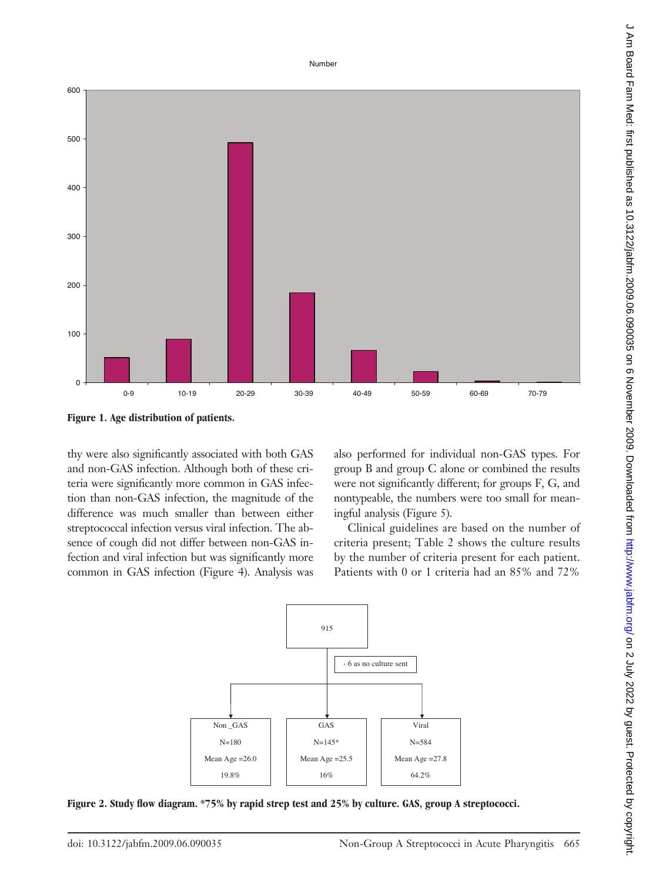Number





thy were also significantly associated with both GAS and non-GAS infection. Although both of these criteria were significantly more common in GAS infection than non-GAS infection, the magnitude of the difference was much smaller than between either streptococcal infection versus viral infection. The absence of cough did not differ between non-GAS infection and viral infection but was significantly more common in GAS infection (Figure 4). Analysis was

also performed for individual non-GAS types. For group B and group C alone or combined the results were not significantly different; for groups F, G, and nontypeable, the numbers were too small for meaningful analysis (Figure 5).

Clinical guidelines are based on the number of criteria present; Table 2 shows the culture results by the number of criteria present for each patient. Patients with 0 or 1 criteria had an 85% and 72%



**Figure 2. Study flow diagram. \*75% by rapid strep test and 25% by culture. GAS, group A streptococci.**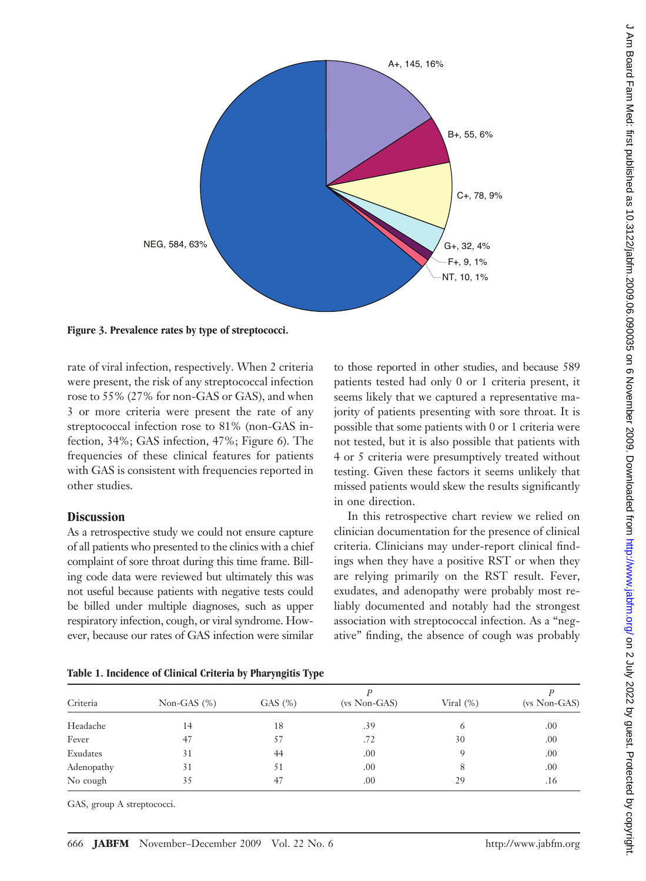

**Figure 3. Prevalence rates by type of streptococci.**

rate of viral infection, respectively. When 2 criteria were present, the risk of any streptococcal infection rose to 55% (27% for non-GAS or GAS), and when 3 or more criteria were present the rate of any streptococcal infection rose to 81% (non-GAS infection, 34%; GAS infection, 47%; Figure 6). The frequencies of these clinical features for patients with GAS is consistent with frequencies reported in other studies.

#### **Discussion**

As a retrospective study we could not ensure capture of all patients who presented to the clinics with a chief complaint of sore throat during this time frame. Billing code data were reviewed but ultimately this was not useful because patients with negative tests could be billed under multiple diagnoses, such as upper respiratory infection, cough, or viral syndrome. However, because our rates of GAS infection were similar to those reported in other studies, and because 589 patients tested had only 0 or 1 criteria present, it seems likely that we captured a representative majority of patients presenting with sore throat. It is possible that some patients with 0 or 1 criteria were not tested, but it is also possible that patients with 4 or 5 criteria were presumptively treated without testing. Given these factors it seems unlikely that missed patients would skew the results significantly in one direction.

In this retrospective chart review we relied on clinician documentation for the presence of clinical criteria. Clinicians may under-report clinical findings when they have a positive RST or when they are relying primarily on the RST result. Fever, exudates, and adenopathy were probably most reliably documented and notably had the strongest association with streptococcal infection. As a "negative" finding, the absence of cough was probably

|  |  |  | Table 1. Incidence of Clinical Criteria by Pharyngitis Type |  |  |  |  |  |  |
|--|--|--|-------------------------------------------------------------|--|--|--|--|--|--|
|--|--|--|-------------------------------------------------------------|--|--|--|--|--|--|

| Criteria   | Non-GAS $(\%)$ | GAS(%) | $(vs \text{ Non-GAS})$ | Viral $(\%)$ | $(vs \text{ Non-GAS})$ |
|------------|----------------|--------|------------------------|--------------|------------------------|
| Headache   | 14             | 18     | .39                    | 6            | .00                    |
| Fever      | 47             | 57     | .72                    | 30           | .00                    |
| Exudates   | 31             | 44     | .00                    |              | .00                    |
| Adenopathy | 31             | 51     | .00                    | 8            | .00                    |
| No cough   | 35             | 47     | .00                    | 29           | .16                    |

GAS, group A streptococci.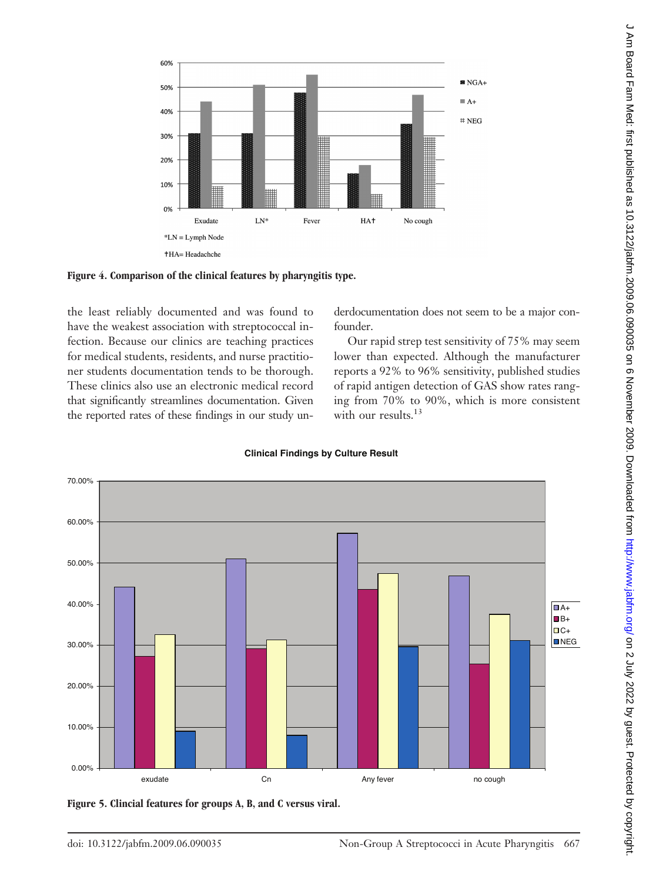

**Figure 4. Comparison of the clinical features by pharyngitis type.**

the least reliably documented and was found to have the weakest association with streptococcal infection. Because our clinics are teaching practices for medical students, residents, and nurse practitioner students documentation tends to be thorough. These clinics also use an electronic medical record that significantly streamlines documentation. Given the reported rates of these findings in our study underdocumentation does not seem to be a major confounder.

Our rapid strep test sensitivity of 75% may seem lower than expected. Although the manufacturer reports a 92% to 96% sensitivity, published studies of rapid antigen detection of GAS show rates ranging from 70% to 90%, which is more consistent with our results.<sup>13</sup>



**Clinical Findings by Culture Result**

**Figure 5. Clincial features for groups A, B, and C versus viral.**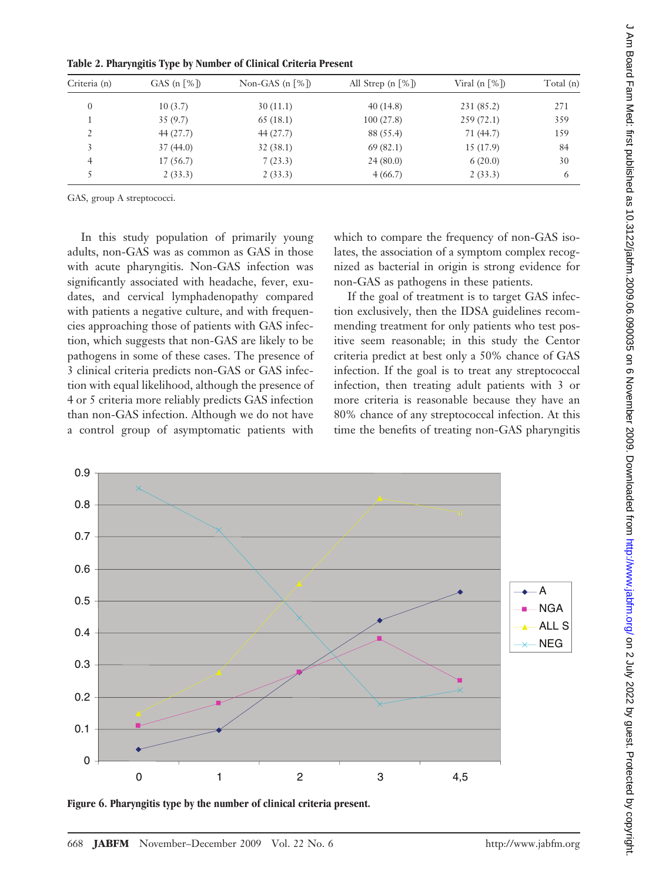| Table 2. Pharyngitis Type by Number of Clinical Criteria Present |  |  |  |  |
|------------------------------------------------------------------|--|--|--|--|
|------------------------------------------------------------------|--|--|--|--|

| Criteria (n)  | GAS $(n \lceil \% \rceil)$ | Non-GAS $(n \lceil \% \rceil)$ | All Strep $(n \lceil \% \rceil)$ | Viral (n $\lceil \% \rceil$ ) | Total (n) |  |
|---------------|----------------------------|--------------------------------|----------------------------------|-------------------------------|-----------|--|
| $\mathbf{0}$  | 10(3.7)                    | 30(11.1)                       | 40(14.8)                         | 231 (85.2)                    | 271       |  |
|               | 35(9.7)                    | 65(18.1)                       | 100(27.8)                        | 259(72.1)                     | 359       |  |
| $\mathcal{D}$ | 44(27.7)                   | 44(27.7)                       | 88 (55.4)                        | 71 (44.7)                     | 159       |  |
|               | 37(44.0)                   | 32(38.1)                       | 69(82.1)                         | 15 (17.9)                     | 84        |  |
| 4             | 17(56.7)                   | 7(23.3)                        | 24(80.0)                         | 6(20.0)                       | 30        |  |
|               | 2(33.3)                    | 2(33.3)                        | 4(66.7)                          | 2(33.3)                       | 6         |  |
|               |                            |                                |                                  |                               |           |  |

GAS, group A streptococci.

In this study population of primarily young adults, non-GAS was as common as GAS in those with acute pharyngitis. Non-GAS infection was significantly associated with headache, fever, exudates, and cervical lymphadenopathy compared with patients a negative culture, and with frequencies approaching those of patients with GAS infection, which suggests that non-GAS are likely to be pathogens in some of these cases. The presence of 3 clinical criteria predicts non-GAS or GAS infection with equal likelihood, although the presence of 4 or 5 criteria more reliably predicts GAS infection than non-GAS infection. Although we do not have a control group of asymptomatic patients with which to compare the frequency of non-GAS isolates, the association of a symptom complex recognized as bacterial in origin is strong evidence for non-GAS as pathogens in these patients.

If the goal of treatment is to target GAS infection exclusively, then the IDSA guidelines recommending treatment for only patients who test positive seem reasonable; in this study the Centor criteria predict at best only a 50% chance of GAS infection. If the goal is to treat any streptococcal infection, then treating adult patients with 3 or more criteria is reasonable because they have an 80% chance of any streptococcal infection. At this time the benefits of treating non-GAS pharyngitis